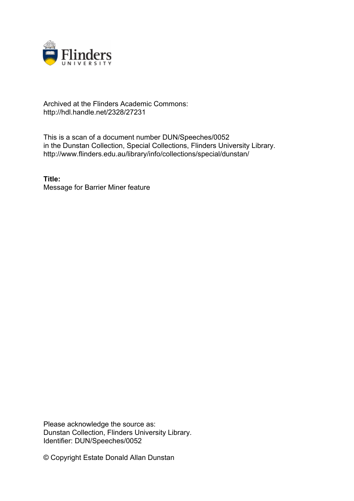

## Archived at the Flinders Academic Commons: http://hdl.handle.net/2328/27231

This is a scan of a document number DUN/Speeches/0052 in the Dunstan Collection, Special Collections, Flinders University Library. http://www.flinders.edu.au/library/info/collections/special/dunstan/

**Title:** Message for Barrier Miner feature

Please acknowledge the source as: Dunstan Collection, Flinders University Library. Identifier: DUN/Speeches/0052

© Copyright Estate Donald Allan Dunstan